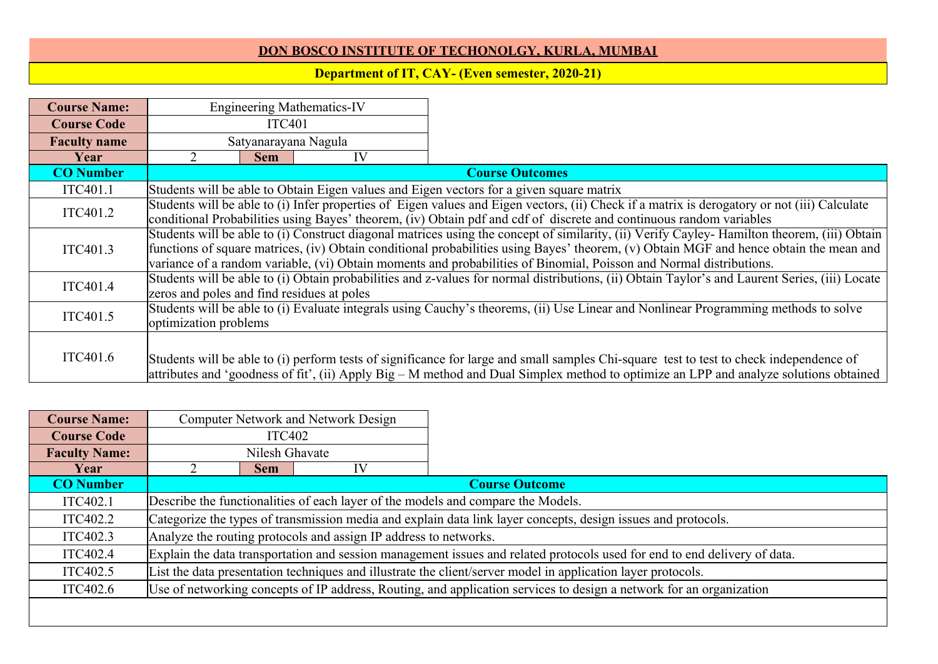## **DON BOSCO INSTITUTE OF TECHONOLGY, KURLA, MUMBAI**

## **Department of IT, CAY- (Even semester, 2020-21)**

| <b>Course Name:</b> |                                                                                                                     |                                                                                                                     | <b>Engineering Mathematics-IV</b> |                                                                                                                                                |  |  |
|---------------------|---------------------------------------------------------------------------------------------------------------------|---------------------------------------------------------------------------------------------------------------------|-----------------------------------|------------------------------------------------------------------------------------------------------------------------------------------------|--|--|
| <b>Course Code</b>  | <b>ITC401</b>                                                                                                       |                                                                                                                     |                                   |                                                                                                                                                |  |  |
| <b>Faculty name</b> |                                                                                                                     | Satyanarayana Nagula                                                                                                |                                   |                                                                                                                                                |  |  |
| Year                |                                                                                                                     | <b>Sem</b>                                                                                                          | IV                                |                                                                                                                                                |  |  |
| <b>CO</b> Number    |                                                                                                                     |                                                                                                                     |                                   | <b>Course Outcomes</b>                                                                                                                         |  |  |
| ITC401.1            |                                                                                                                     |                                                                                                                     |                                   | Students will be able to Obtain Eigen values and Eigen vectors for a given square matrix                                                       |  |  |
| ITC401.2            |                                                                                                                     |                                                                                                                     |                                   | Students will be able to (i) Infer properties of Eigen values and Eigen vectors, (ii) Check if a matrix is derogatory or not (iii) Calculate   |  |  |
|                     |                                                                                                                     | conditional Probabilities using Bayes' theorem, (iv) Obtain pdf and cdf of discrete and continuous random variables |                                   |                                                                                                                                                |  |  |
|                     |                                                                                                                     |                                                                                                                     |                                   | Students will be able to (i) Construct diagonal matrices using the concept of similarity, (ii) Verify Cayley- Hamilton theorem, (iii) Obtain   |  |  |
| ITC401.3            |                                                                                                                     |                                                                                                                     |                                   | functions of square matrices, (iv) Obtain conditional probabilities using Bayes' theorem, (v) Obtain MGF and hence obtain the mean and         |  |  |
|                     | variance of a random variable, (vi) Obtain moments and probabilities of Binomial, Poisson and Normal distributions. |                                                                                                                     |                                   |                                                                                                                                                |  |  |
| ITC401.4            |                                                                                                                     |                                                                                                                     |                                   | Students will be able to (i) Obtain probabilities and z-values for normal distributions, (ii) Obtain Taylor's and Laurent Series, (iii) Locate |  |  |
|                     | zeros and poles and find residues at poles                                                                          |                                                                                                                     |                                   |                                                                                                                                                |  |  |
| ITC401.5            |                                                                                                                     |                                                                                                                     |                                   | Students will be able to (i) Evaluate integrals using Cauchy's theorems, (ii) Use Linear and Nonlinear Programming methods to solve            |  |  |
|                     | optimization problems                                                                                               |                                                                                                                     |                                   |                                                                                                                                                |  |  |
|                     |                                                                                                                     |                                                                                                                     |                                   |                                                                                                                                                |  |  |
| ITC401.6            |                                                                                                                     |                                                                                                                     |                                   | Students will be able to (i) perform tests of significance for large and small samples Chi-square test to test to check independence of        |  |  |
|                     |                                                                                                                     |                                                                                                                     |                                   | attributes and 'goodness of fit', (ii) Apply Big – M method and Dual Simplex method to optimize an LPP and analyze solutions obtained          |  |  |

| <b>Course Name:</b>  | <b>Computer Network and Network Design</b>                                                                    |                                                                                                                           |    |                       |  |
|----------------------|---------------------------------------------------------------------------------------------------------------|---------------------------------------------------------------------------------------------------------------------------|----|-----------------------|--|
| <b>Course Code</b>   | <b>ITC402</b>                                                                                                 |                                                                                                                           |    |                       |  |
| <b>Faculty Name:</b> |                                                                                                               | Nilesh Ghavate                                                                                                            |    |                       |  |
| Year                 |                                                                                                               | <b>Sem</b>                                                                                                                | IV |                       |  |
| <b>CO</b> Number     |                                                                                                               |                                                                                                                           |    | <b>Course Outcome</b> |  |
| ITC402.1             |                                                                                                               | Describe the functionalities of each layer of the models and compare the Models.                                          |    |                       |  |
| ITC402.2             | Categorize the types of transmission media and explain data link layer concepts, design issues and protocols. |                                                                                                                           |    |                       |  |
| ITC402.3             |                                                                                                               | Analyze the routing protocols and assign IP address to networks.                                                          |    |                       |  |
| ITC402.4             |                                                                                                               | Explain the data transportation and session management issues and related protocols used for end to end delivery of data. |    |                       |  |
| ITC402.5             |                                                                                                               | List the data presentation techniques and illustrate the client/server model in application layer protocols.              |    |                       |  |
| ITC402.6             |                                                                                                               | Use of networking concepts of IP address, Routing, and application services to design a network for an organization       |    |                       |  |
|                      |                                                                                                               |                                                                                                                           |    |                       |  |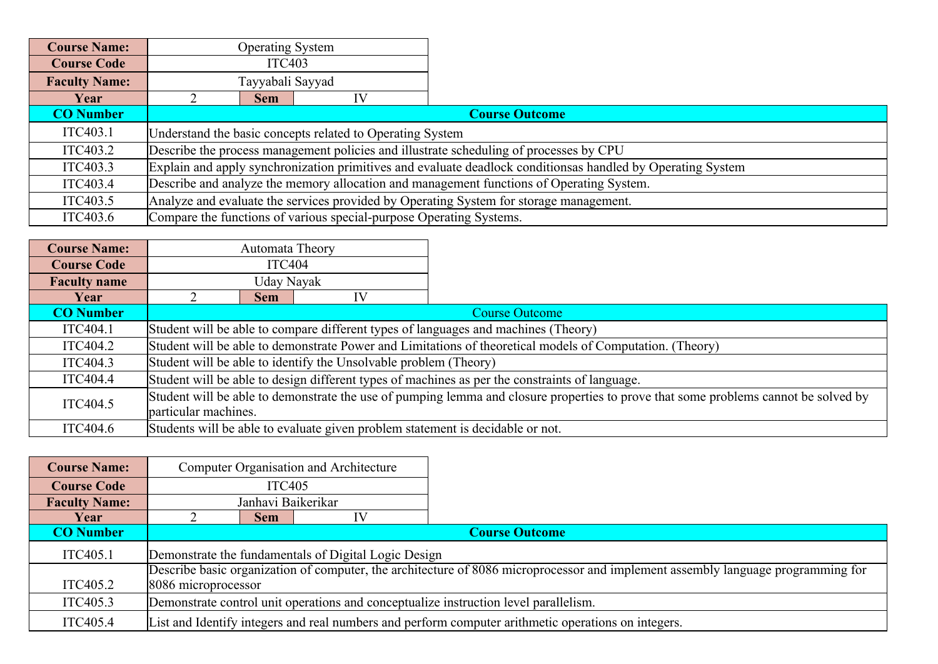| <b>Course Name:</b>  | <b>Operating System</b>                                                                |                                                                                                             |                                                                     |                                                                                        |  |  |
|----------------------|----------------------------------------------------------------------------------------|-------------------------------------------------------------------------------------------------------------|---------------------------------------------------------------------|----------------------------------------------------------------------------------------|--|--|
| <b>Course Code</b>   |                                                                                        | <b>ITC403</b>                                                                                               |                                                                     |                                                                                        |  |  |
| <b>Faculty Name:</b> |                                                                                        | Tayyabali Sayyad                                                                                            |                                                                     |                                                                                        |  |  |
| Year                 |                                                                                        | <b>Sem</b>                                                                                                  |                                                                     |                                                                                        |  |  |
| <b>CO</b> Number     |                                                                                        |                                                                                                             |                                                                     | <b>Course Outcome</b>                                                                  |  |  |
| ITC403.1             | Understand the basic concepts related to Operating System                              |                                                                                                             |                                                                     |                                                                                        |  |  |
| ITC403.2             | Describe the process management policies and illustrate scheduling of processes by CPU |                                                                                                             |                                                                     |                                                                                        |  |  |
| ITC403.3             |                                                                                        | Explain and apply synchronization primitives and evaluate deadlock conditionsas handled by Operating System |                                                                     |                                                                                        |  |  |
| ITC403.4             |                                                                                        | Describe and analyze the memory allocation and management functions of Operating System.                    |                                                                     |                                                                                        |  |  |
| ITC403.5             |                                                                                        |                                                                                                             |                                                                     | Analyze and evaluate the services provided by Operating System for storage management. |  |  |
| ITC403.6             |                                                                                        |                                                                                                             | Compare the functions of various special-purpose Operating Systems. |                                                                                        |  |  |

| <b>Course Name:</b> |                                                                                                                                                             | Automata Theory |    |                                                                                                          |
|---------------------|-------------------------------------------------------------------------------------------------------------------------------------------------------------|-----------------|----|----------------------------------------------------------------------------------------------------------|
| <b>Course Code</b>  |                                                                                                                                                             | ITC404          |    |                                                                                                          |
| <b>Faculty name</b> | Uday Nayak                                                                                                                                                  |                 |    |                                                                                                          |
| Year                |                                                                                                                                                             | <b>Sem</b>      | IV |                                                                                                          |
| <b>CO</b> Number    |                                                                                                                                                             |                 |    | <b>Course Outcome</b>                                                                                    |
| ITC404.1            | Student will be able to compare different types of languages and machines (Theory)                                                                          |                 |    |                                                                                                          |
| ITC404.2            |                                                                                                                                                             |                 |    | Student will be able to demonstrate Power and Limitations of theoretical models of Computation. (Theory) |
| ITC404.3            | Student will be able to identify the Unsolvable problem (Theory)                                                                                            |                 |    |                                                                                                          |
| ITC404.4            | Student will be able to design different types of machines as per the constraints of language.                                                              |                 |    |                                                                                                          |
| ITC404.5            | Student will be able to demonstrate the use of pumping lemma and closure properties to prove that some problems cannot be solved by<br>particular machines. |                 |    |                                                                                                          |
| ITC404.6            |                                                                                                                                                             |                 |    | Students will be able to evaluate given problem statement is decidable or not.                           |

| <b>Course Name:</b>  | <b>Computer Organisation and Architecture</b>                                        |                     |  |                                                                                                                                  |  |
|----------------------|--------------------------------------------------------------------------------------|---------------------|--|----------------------------------------------------------------------------------------------------------------------------------|--|
| <b>Course Code</b>   |                                                                                      | <b>ITC405</b>       |  |                                                                                                                                  |  |
| <b>Faculty Name:</b> | Janhavi Baikerikar                                                                   |                     |  |                                                                                                                                  |  |
| Year                 | <b>Sem</b>                                                                           |                     |  |                                                                                                                                  |  |
| <b>CO</b> Number     |                                                                                      |                     |  | <b>Course Outcome</b>                                                                                                            |  |
| ITC405.1             | Demonstrate the fundamentals of Digital Logic Design                                 |                     |  |                                                                                                                                  |  |
|                      |                                                                                      |                     |  | Describe basic organization of computer, the architecture of 8086 microprocessor and implement assembly language programming for |  |
| ITC405.2             |                                                                                      | 8086 microprocessor |  |                                                                                                                                  |  |
| ITC405.3             | Demonstrate control unit operations and conceptualize instruction level parallelism. |                     |  |                                                                                                                                  |  |
| ITC405.4             |                                                                                      |                     |  | List and Identify integers and real numbers and perform computer arithmetic operations on integers.                              |  |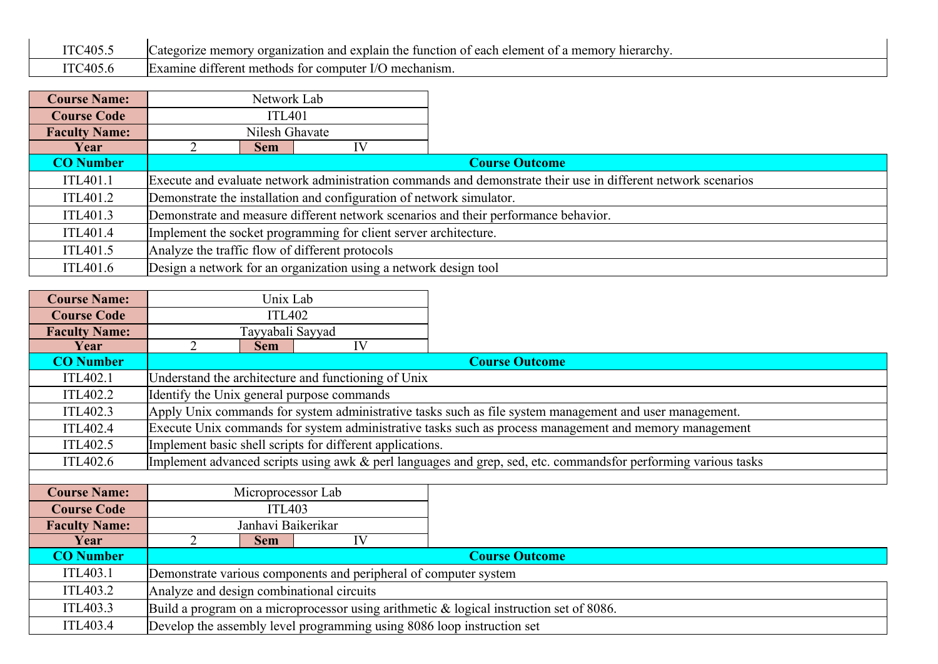| ITC405 ' | $\sqrt{2}$<br>organization and explain the<br>. function of each element of $\epsilon$<br>a memory<br><sup>,</sup> hierarchv<br>$\cup$ ategorize memory |
|----------|---------------------------------------------------------------------------------------------------------------------------------------------------------|
| ITCAO5   | l Examıne<br>) mechanism<br>e different methods for computer I/C                                                                                        |

| <b>Course Name:</b>  | Network Lab                                                          |                                                                                     |                                                                  |                                                                                                               |  |
|----------------------|----------------------------------------------------------------------|-------------------------------------------------------------------------------------|------------------------------------------------------------------|---------------------------------------------------------------------------------------------------------------|--|
| <b>Course Code</b>   | <b>ITL401</b>                                                        |                                                                                     |                                                                  |                                                                                                               |  |
| <b>Faculty Name:</b> |                                                                      | Nilesh Ghavate                                                                      |                                                                  |                                                                                                               |  |
| Year                 |                                                                      | <b>Sem</b>                                                                          | IV                                                               |                                                                                                               |  |
| <b>CO</b> Number     |                                                                      |                                                                                     |                                                                  | <b>Course Outcome</b>                                                                                         |  |
| ITL401.1             |                                                                      |                                                                                     |                                                                  | Execute and evaluate network administration commands and demonstrate their use in different network scenarios |  |
| ITL401.2             | Demonstrate the installation and configuration of network simulator. |                                                                                     |                                                                  |                                                                                                               |  |
| ITL401.3             |                                                                      | Demonstrate and measure different network scenarios and their performance behavior. |                                                                  |                                                                                                               |  |
| ITL401.4             |                                                                      | Implement the socket programming for client server architecture.                    |                                                                  |                                                                                                               |  |
| ITL401.5             | Analyze the traffic flow of different protocols                      |                                                                                     |                                                                  |                                                                                                               |  |
| ITL401.6             |                                                                      |                                                                                     | Design a network for an organization using a network design tool |                                                                                                               |  |

| <b>Course Name:</b>  | Unix Lab                                                                                                |    |                                                                                                                |  |
|----------------------|---------------------------------------------------------------------------------------------------------|----|----------------------------------------------------------------------------------------------------------------|--|
| <b>Course Code</b>   | <b>ITL402</b>                                                                                           |    |                                                                                                                |  |
| <b>Faculty Name:</b> | Tayyabali Sayyad                                                                                        |    |                                                                                                                |  |
| Year                 | 2<br><b>Sem</b>                                                                                         | IV |                                                                                                                |  |
| <b>CO</b> Number     |                                                                                                         |    | <b>Course Outcome</b>                                                                                          |  |
| ITL402.1             | Understand the architecture and functioning of Unix                                                     |    |                                                                                                                |  |
| ITL402.2             | Identify the Unix general purpose commands                                                              |    |                                                                                                                |  |
| ITL402.3             | Apply Unix commands for system administrative tasks such as file system management and user management. |    |                                                                                                                |  |
| ITL402.4             | Execute Unix commands for system administrative tasks such as process management and memory management  |    |                                                                                                                |  |
| ITL402.5             | Implement basic shell scripts for different applications.                                               |    |                                                                                                                |  |
| ITL402.6             |                                                                                                         |    | Implement advanced scripts using awk & perl languages and grep, sed, etc. commandsfor performing various tasks |  |
|                      |                                                                                                         |    |                                                                                                                |  |
| <b>Course Name:</b>  | Microprocessor Lab                                                                                      |    |                                                                                                                |  |
| <b>Course Code</b>   | <b>ITL403</b>                                                                                           |    |                                                                                                                |  |
| <b>Faculty Name:</b> | Janhavi Baikerikar                                                                                      |    |                                                                                                                |  |
| Year                 | $\overline{2}$<br><b>Sem</b>                                                                            | IV |                                                                                                                |  |
| <b>CO</b> Number     |                                                                                                         |    | <b>Course Outcome</b>                                                                                          |  |
| ITL403.1             | Demonstrate various components and peripheral of computer system                                        |    |                                                                                                                |  |
| ITL403.2             | Analyze and design combinational circuits                                                               |    |                                                                                                                |  |
| ITL403.3             |                                                                                                         |    | Build a program on a microprocessor using arithmetic $\&$ logical instruction set of 8086.                     |  |
| ITL403.4             | Develop the assembly level programming using 8086 loop instruction set                                  |    |                                                                                                                |  |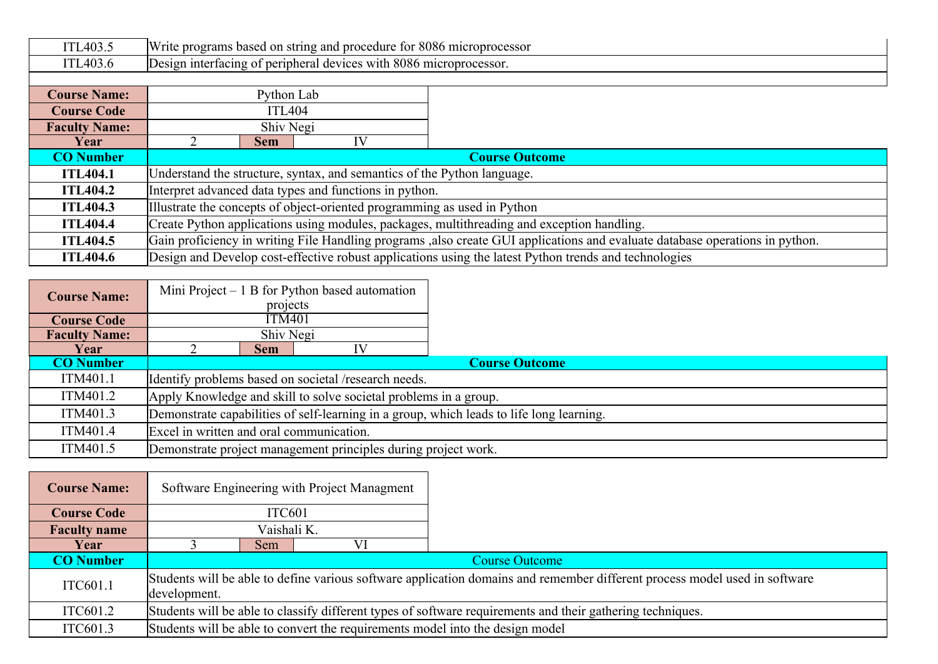| ITL403.5             |                                                                    |                                                                                            | Write programs based on string and procedure for 8086 microprocessor |                                                                                                                               |  |  |
|----------------------|--------------------------------------------------------------------|--------------------------------------------------------------------------------------------|----------------------------------------------------------------------|-------------------------------------------------------------------------------------------------------------------------------|--|--|
| ITL403.6             | Design interfacing of peripheral devices with 8086 microprocessor. |                                                                                            |                                                                      |                                                                                                                               |  |  |
|                      |                                                                    |                                                                                            |                                                                      |                                                                                                                               |  |  |
| <b>Course Name:</b>  |                                                                    | Python Lab                                                                                 |                                                                      |                                                                                                                               |  |  |
| <b>Course Code</b>   | <b>ITL404</b>                                                      |                                                                                            |                                                                      |                                                                                                                               |  |  |
| <b>Faculty Name:</b> | Shiv Negi                                                          |                                                                                            |                                                                      |                                                                                                                               |  |  |
| Year                 |                                                                    | <b>Sem</b>                                                                                 | IV                                                                   |                                                                                                                               |  |  |
| <b>CO</b> Number     |                                                                    | <b>Course Outcome</b>                                                                      |                                                                      |                                                                                                                               |  |  |
| <b>ITL404.1</b>      |                                                                    | Understand the structure, syntax, and semantics of the Python language.                    |                                                                      |                                                                                                                               |  |  |
| <b>ITL404.2</b>      |                                                                    |                                                                                            | Interpret advanced data types and functions in python.               |                                                                                                                               |  |  |
| <b>ITL404.3</b>      |                                                                    | Illustrate the concepts of object-oriented programming as used in Python                   |                                                                      |                                                                                                                               |  |  |
| <b>ITL404.4</b>      |                                                                    | Create Python applications using modules, packages, multithreading and exception handling. |                                                                      |                                                                                                                               |  |  |
| <b>ITL404.5</b>      |                                                                    |                                                                                            |                                                                      | Gain proficiency in writing File Handling programs , also create GUI applications and evaluate database operations in python. |  |  |
| <b>ITL404.6</b>      |                                                                    |                                                                                            |                                                                      | Design and Develop cost-effective robust applications using the latest Python trends and technologies                         |  |  |

| <b>Course Name:</b>  |                                          |                                                                                          | Mini Project $-1$ B for Python based automation                |                       |  |  |
|----------------------|------------------------------------------|------------------------------------------------------------------------------------------|----------------------------------------------------------------|-----------------------|--|--|
|                      |                                          | projects                                                                                 |                                                                |                       |  |  |
| <b>Course Code</b>   |                                          | <b>ITM401</b>                                                                            |                                                                |                       |  |  |
| <b>Faculty Name:</b> |                                          | Shiv Negi                                                                                |                                                                |                       |  |  |
| Year                 |                                          | <b>Sem</b>                                                                               |                                                                |                       |  |  |
| <b>CO</b> Number     |                                          |                                                                                          |                                                                | <b>Course Outcome</b> |  |  |
| ITM401.1             |                                          | Identify problems based on societal /research needs.                                     |                                                                |                       |  |  |
| ITM401.2             |                                          | Apply Knowledge and skill to solve societal problems in a group.                         |                                                                |                       |  |  |
| ITM401.3             |                                          | Demonstrate capabilities of self-learning in a group, which leads to life long learning. |                                                                |                       |  |  |
| ITM401.4             | Excel in written and oral communication. |                                                                                          |                                                                |                       |  |  |
| ITM401.5             |                                          |                                                                                          | Demonstrate project management principles during project work. |                       |  |  |

| <b>Course Name:</b> |                                                                                                            |                                                                                                                            | Software Engineering with Project Managment |                                                                               |  |
|---------------------|------------------------------------------------------------------------------------------------------------|----------------------------------------------------------------------------------------------------------------------------|---------------------------------------------|-------------------------------------------------------------------------------|--|
| <b>Course Code</b>  | ITC601                                                                                                     |                                                                                                                            |                                             |                                                                               |  |
| <b>Faculty name</b> | Vaishali K.                                                                                                |                                                                                                                            |                                             |                                                                               |  |
| Year                |                                                                                                            | Sem                                                                                                                        |                                             |                                                                               |  |
| <b>CO</b> Number    |                                                                                                            | <b>Course Outcome</b>                                                                                                      |                                             |                                                                               |  |
| ITC601.1            | development.                                                                                               | Students will be able to define various software application domains and remember different process model used in software |                                             |                                                                               |  |
| ITC601.2            | Students will be able to classify different types of software requirements and their gathering techniques. |                                                                                                                            |                                             |                                                                               |  |
| ITC601.3            |                                                                                                            |                                                                                                                            |                                             | Students will be able to convert the requirements model into the design model |  |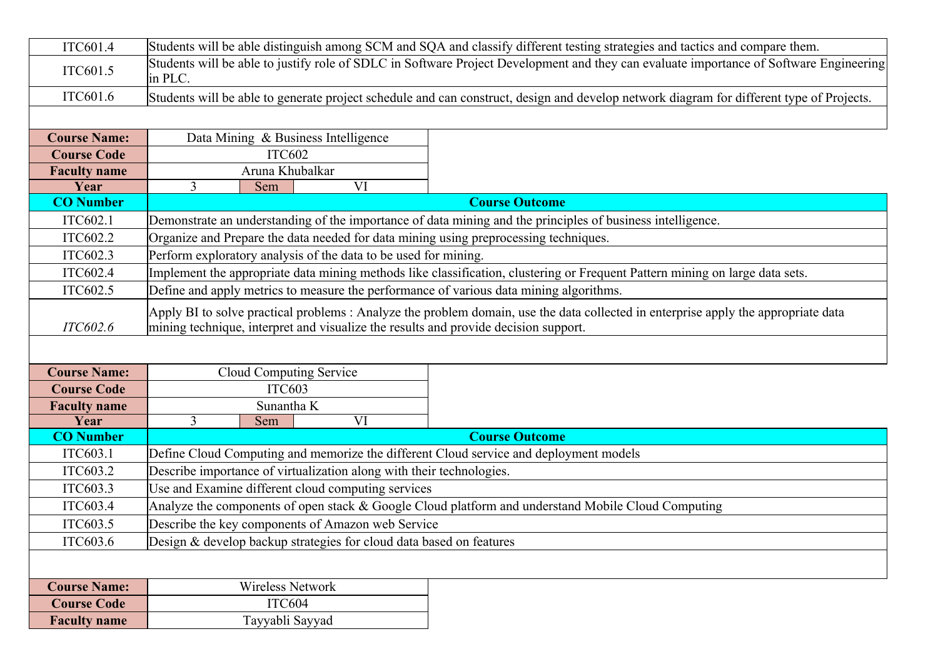| ITC601.4                                  |          |                                                                      | Students will be able distinguish among SCM and SQA and classify different testing strategies and tactics and compare them.                                                                                              |
|-------------------------------------------|----------|----------------------------------------------------------------------|--------------------------------------------------------------------------------------------------------------------------------------------------------------------------------------------------------------------------|
| ITC601.5                                  | in PLC.  |                                                                      | Students will be able to justify role of SDLC in Software Project Development and they can evaluate importance of Software Engineering                                                                                   |
| ITC601.6                                  |          |                                                                      | Students will be able to generate project schedule and can construct, design and develop network diagram for different type of Projects.                                                                                 |
|                                           |          |                                                                      |                                                                                                                                                                                                                          |
| <b>Course Name:</b>                       |          | Data Mining & Business Intelligence                                  |                                                                                                                                                                                                                          |
| <b>Course Code</b>                        |          | <b>ITC602</b>                                                        |                                                                                                                                                                                                                          |
| <b>Faculty name</b>                       |          | Aruna Khubalkar                                                      |                                                                                                                                                                                                                          |
| Year                                      | 3<br>Sem | VI                                                                   |                                                                                                                                                                                                                          |
| <b>CO</b> Number                          |          |                                                                      | <b>Course Outcome</b>                                                                                                                                                                                                    |
| ITC602.1                                  |          |                                                                      | Demonstrate an understanding of the importance of data mining and the principles of business intelligence.                                                                                                               |
| ITC602.2                                  |          |                                                                      | Organize and Prepare the data needed for data mining using preprocessing techniques.                                                                                                                                     |
| ITC602.3                                  |          | Perform exploratory analysis of the data to be used for mining.      |                                                                                                                                                                                                                          |
| ITC602.4                                  |          |                                                                      | Implement the appropriate data mining methods like classification, clustering or Frequent Pattern mining on large data sets.                                                                                             |
| ITC602.5                                  |          |                                                                      | Define and apply metrics to measure the performance of various data mining algorithms.                                                                                                                                   |
| ITC602.6                                  |          |                                                                      | Apply BI to solve practical problems: Analyze the problem domain, use the data collected in enterprise apply the appropriate data<br>mining technique, interpret and visualize the results and provide decision support. |
|                                           |          |                                                                      |                                                                                                                                                                                                                          |
|                                           |          |                                                                      |                                                                                                                                                                                                                          |
| <b>Course Name:</b>                       |          | Cloud Computing Service                                              |                                                                                                                                                                                                                          |
| <b>Course Code</b>                        |          | <b>ITC603</b>                                                        |                                                                                                                                                                                                                          |
| <b>Faculty name</b>                       |          | Sunantha K                                                           |                                                                                                                                                                                                                          |
| Year                                      | 3<br>Sem | VI                                                                   |                                                                                                                                                                                                                          |
| <b>CO</b> Number                          |          |                                                                      | <b>Course Outcome</b>                                                                                                                                                                                                    |
| ITC603.1                                  |          |                                                                      | Define Cloud Computing and memorize the different Cloud service and deployment models                                                                                                                                    |
| ITC603.2                                  |          | Describe importance of virtualization along with their technologies. |                                                                                                                                                                                                                          |
| ITC603.3                                  |          | Use and Examine different cloud computing services                   |                                                                                                                                                                                                                          |
| ITC603.4                                  |          |                                                                      | Analyze the components of open stack & Google Cloud platform and understand Mobile Cloud Computing                                                                                                                       |
| ITC603.5                                  |          | Describe the key components of Amazon web Service                    |                                                                                                                                                                                                                          |
| ITC603.6                                  |          | Design & develop backup strategies for cloud data based on features  |                                                                                                                                                                                                                          |
|                                           |          |                                                                      |                                                                                                                                                                                                                          |
| <b>Course Name:</b>                       |          | Wireless Network                                                     |                                                                                                                                                                                                                          |
| <b>Course Code</b><br><b>Faculty name</b> |          | ITC604<br>Tayyabli Sayyad                                            |                                                                                                                                                                                                                          |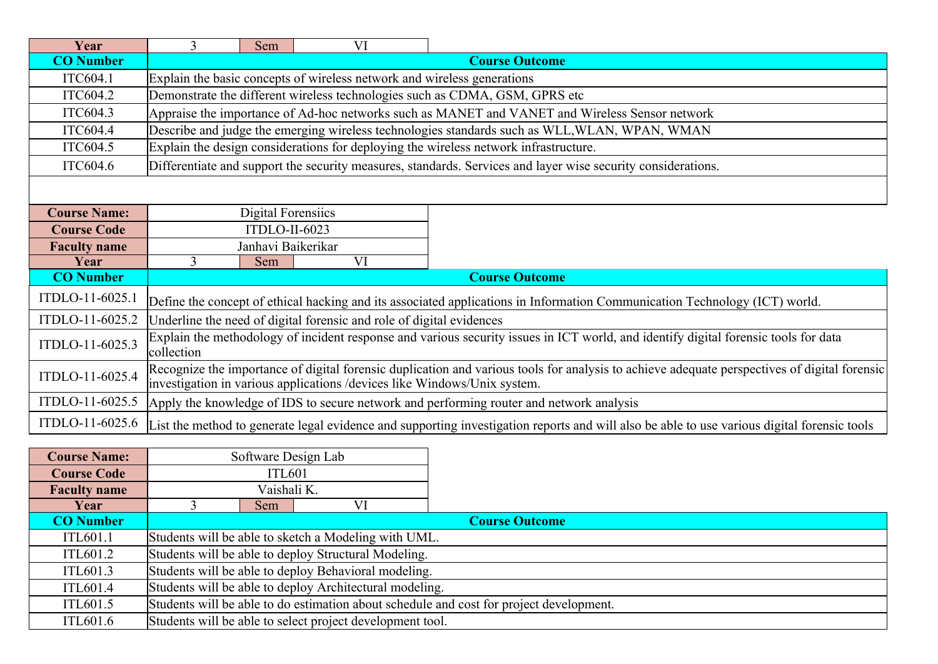| Year                | 3                                                                                                                                                                                                                        | Sem                | VI                                                                      |                                                                                                                                             |  |  |
|---------------------|--------------------------------------------------------------------------------------------------------------------------------------------------------------------------------------------------------------------------|--------------------|-------------------------------------------------------------------------|---------------------------------------------------------------------------------------------------------------------------------------------|--|--|
| <b>CO</b> Number    | <b>Course Outcome</b>                                                                                                                                                                                                    |                    |                                                                         |                                                                                                                                             |  |  |
| ITC604.1            |                                                                                                                                                                                                                          |                    | Explain the basic concepts of wireless network and wireless generations |                                                                                                                                             |  |  |
| ITC604.2            |                                                                                                                                                                                                                          |                    |                                                                         | Demonstrate the different wireless technologies such as CDMA, GSM, GPRS etc                                                                 |  |  |
| ITC604.3            |                                                                                                                                                                                                                          |                    |                                                                         | Appraise the importance of Ad-hoc networks such as MANET and VANET and Wireless Sensor network                                              |  |  |
| ITC604.4            |                                                                                                                                                                                                                          |                    |                                                                         | Describe and judge the emerging wireless technologies standards such as WLL, WLAN, WPAN, WMAN                                               |  |  |
| ITC604.5            |                                                                                                                                                                                                                          |                    |                                                                         | Explain the design considerations for deploying the wireless network infrastructure.                                                        |  |  |
| ITC604.6            |                                                                                                                                                                                                                          |                    |                                                                         | Differentiate and support the security measures, standards. Services and layer wise security considerations.                                |  |  |
|                     |                                                                                                                                                                                                                          |                    |                                                                         |                                                                                                                                             |  |  |
|                     |                                                                                                                                                                                                                          |                    |                                                                         |                                                                                                                                             |  |  |
| <b>Course Name:</b> |                                                                                                                                                                                                                          | Digital Forensiics |                                                                         |                                                                                                                                             |  |  |
| <b>Course Code</b>  |                                                                                                                                                                                                                          | ITDLO-II-6023      |                                                                         |                                                                                                                                             |  |  |
| <b>Faculty name</b> |                                                                                                                                                                                                                          | Janhavi Baikerikar |                                                                         |                                                                                                                                             |  |  |
| Year                | 3                                                                                                                                                                                                                        | Sem                | VI                                                                      |                                                                                                                                             |  |  |
| <b>CO</b> Number    | <b>Course Outcome</b>                                                                                                                                                                                                    |                    |                                                                         |                                                                                                                                             |  |  |
| ITDLO-11-6025.1     | Define the concept of ethical hacking and its associated applications in Information Communication Technology (ICT) world.                                                                                               |                    |                                                                         |                                                                                                                                             |  |  |
| ITDLO-11-6025.2     |                                                                                                                                                                                                                          |                    | Underline the need of digital forensic and role of digital evidences    |                                                                                                                                             |  |  |
| ITDLO-11-6025.3     | Explain the methodology of incident response and various security issues in ICT world, and identify digital forensic tools for data<br>collection                                                                        |                    |                                                                         |                                                                                                                                             |  |  |
| ITDLO-11-6025.4     | Recognize the importance of digital forensic duplication and various tools for analysis to achieve adequate perspectives of digital forensic<br>investigation in various applications /devices like Windows/Unix system. |                    |                                                                         |                                                                                                                                             |  |  |
| ITDLO-11-6025.5     |                                                                                                                                                                                                                          |                    |                                                                         | Apply the knowledge of IDS to secure network and performing router and network analysis                                                     |  |  |
| ITDLO-11-6025.6     |                                                                                                                                                                                                                          |                    |                                                                         | List the method to generate legal evidence and supporting investigation reports and will also be able to use various digital forensic tools |  |  |

| <b>Course Name:</b> |                                                                                         | Software Design Lab                                  |                                                           |                       |  |  |  |
|---------------------|-----------------------------------------------------------------------------------------|------------------------------------------------------|-----------------------------------------------------------|-----------------------|--|--|--|
| <b>Course Code</b>  |                                                                                         | ITL601                                               |                                                           |                       |  |  |  |
| <b>Faculty name</b> |                                                                                         | Vaishali K.                                          |                                                           |                       |  |  |  |
| Year                |                                                                                         | Sem                                                  |                                                           |                       |  |  |  |
| <b>CO</b> Number    |                                                                                         |                                                      |                                                           | <b>Course Outcome</b> |  |  |  |
| <b>ITL601.1</b>     |                                                                                         |                                                      | Students will be able to sketch a Modeling with UML.      |                       |  |  |  |
| ITL601.2            |                                                                                         |                                                      | Students will be able to deploy Structural Modeling.      |                       |  |  |  |
| ITL601.3            |                                                                                         | Students will be able to deploy Behavioral modeling. |                                                           |                       |  |  |  |
| ITL601.4            | Students will be able to deploy Architectural modeling.                                 |                                                      |                                                           |                       |  |  |  |
| ITL601.5            | Students will be able to do estimation about schedule and cost for project development. |                                                      |                                                           |                       |  |  |  |
| ITL601.6            |                                                                                         |                                                      | Students will be able to select project development tool. |                       |  |  |  |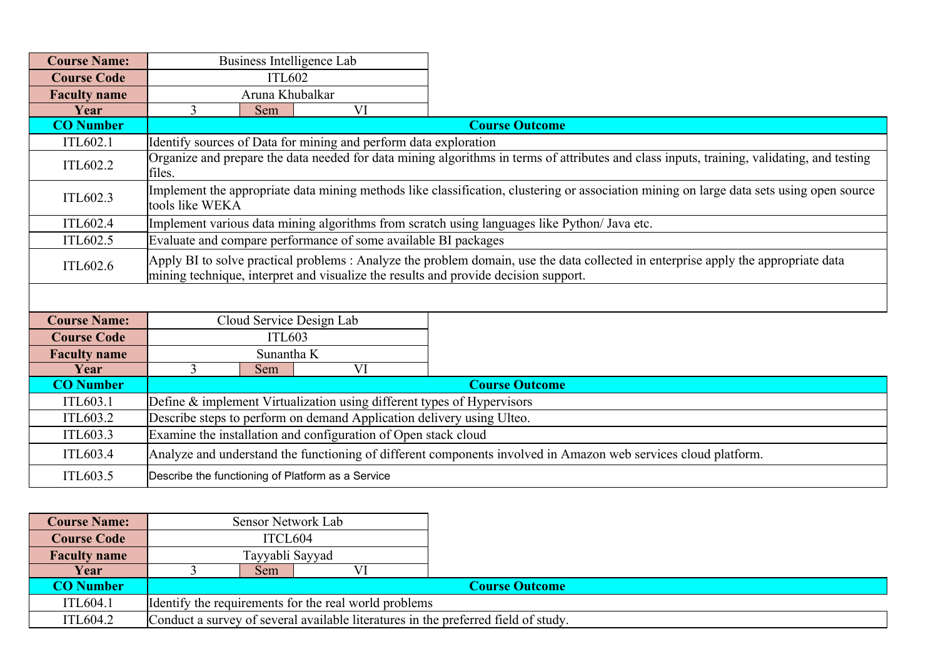| <b>Course Name:</b> |                                                                                                                                                                                                                          | Business Intelligence Lab                                                                                                                                   |                                                                  |                                                                                                                                            |  |  |  |
|---------------------|--------------------------------------------------------------------------------------------------------------------------------------------------------------------------------------------------------------------------|-------------------------------------------------------------------------------------------------------------------------------------------------------------|------------------------------------------------------------------|--------------------------------------------------------------------------------------------------------------------------------------------|--|--|--|
| <b>Course Code</b>  |                                                                                                                                                                                                                          | <b>ITL602</b>                                                                                                                                               |                                                                  |                                                                                                                                            |  |  |  |
| <b>Faculty name</b> |                                                                                                                                                                                                                          | Aruna Khubalkar                                                                                                                                             |                                                                  |                                                                                                                                            |  |  |  |
| Year                | $\overline{3}$                                                                                                                                                                                                           | Sem                                                                                                                                                         | VI                                                               |                                                                                                                                            |  |  |  |
| <b>CO</b> Number    |                                                                                                                                                                                                                          |                                                                                                                                                             |                                                                  | <b>Course Outcome</b>                                                                                                                      |  |  |  |
| ITL602.1            |                                                                                                                                                                                                                          |                                                                                                                                                             | Identify sources of Data for mining and perform data exploration |                                                                                                                                            |  |  |  |
| <b>ITL602.2</b>     | files.                                                                                                                                                                                                                   |                                                                                                                                                             |                                                                  | Organize and prepare the data needed for data mining algorithms in terms of attributes and class inputs, training, validating, and testing |  |  |  |
| ITL602.3            |                                                                                                                                                                                                                          | Implement the appropriate data mining methods like classification, clustering or association mining on large data sets using open source<br>tools like WEKA |                                                                  |                                                                                                                                            |  |  |  |
| ITL602.4            |                                                                                                                                                                                                                          |                                                                                                                                                             |                                                                  | Implement various data mining algorithms from scratch using languages like Python/ Java etc.                                               |  |  |  |
| ITL602.5            |                                                                                                                                                                                                                          |                                                                                                                                                             | Evaluate and compare performance of some available BI packages   |                                                                                                                                            |  |  |  |
| ITL602.6            | Apply BI to solve practical problems: Analyze the problem domain, use the data collected in enterprise apply the appropriate data<br>mining technique, interpret and visualize the results and provide decision support. |                                                                                                                                                             |                                                                  |                                                                                                                                            |  |  |  |
|                     |                                                                                                                                                                                                                          |                                                                                                                                                             |                                                                  |                                                                                                                                            |  |  |  |
| <b>Course Name:</b> |                                                                                                                                                                                                                          | Cloud Service Design Lab                                                                                                                                    |                                                                  |                                                                                                                                            |  |  |  |
| <b>Course Code</b>  |                                                                                                                                                                                                                          | <b>ITL603</b>                                                                                                                                               |                                                                  |                                                                                                                                            |  |  |  |
| <b>Faculty name</b> |                                                                                                                                                                                                                          | Sunantha K                                                                                                                                                  |                                                                  |                                                                                                                                            |  |  |  |
| Year                | $\overline{3}$                                                                                                                                                                                                           | Sem                                                                                                                                                         | VI                                                               |                                                                                                                                            |  |  |  |
| <b>CO Number</b>    | <b>Course Outcome</b>                                                                                                                                                                                                    |                                                                                                                                                             |                                                                  |                                                                                                                                            |  |  |  |
| ITL603.1            | Define & implement Virtualization using different types of Hypervisors                                                                                                                                                   |                                                                                                                                                             |                                                                  |                                                                                                                                            |  |  |  |
| <b>ITL603.2</b>     | Describe steps to perform on demand Application delivery using Ulteo.                                                                                                                                                    |                                                                                                                                                             |                                                                  |                                                                                                                                            |  |  |  |
| ITL603.3            |                                                                                                                                                                                                                          |                                                                                                                                                             | Examine the installation and configuration of Open stack cloud   |                                                                                                                                            |  |  |  |
| <b>ITL603.4</b>     |                                                                                                                                                                                                                          |                                                                                                                                                             |                                                                  | Analyze and understand the functioning of different components involved in Amazon web services cloud platform.                             |  |  |  |
| ITL603.5            | Describe the functioning of Platform as a Service                                                                                                                                                                        |                                                                                                                                                             |                                                                  |                                                                                                                                            |  |  |  |

| <b>Course Name:</b> |                                                       | Sensor Network Lab                                                                 |  |  |  |  |  |
|---------------------|-------------------------------------------------------|------------------------------------------------------------------------------------|--|--|--|--|--|
| <b>Course Code</b>  |                                                       | ITCL604                                                                            |  |  |  |  |  |
| <b>Faculty name</b> |                                                       | Tayyabli Sayyad                                                                    |  |  |  |  |  |
| Year                | Sem                                                   |                                                                                    |  |  |  |  |  |
| <b>CO</b> Number    |                                                       | <b>Course Outcome</b>                                                              |  |  |  |  |  |
| <b>ITL604.1</b>     | Identify the requirements for the real world problems |                                                                                    |  |  |  |  |  |
| <b>ITL604.2</b>     |                                                       | Conduct a survey of several available literatures in the preferred field of study. |  |  |  |  |  |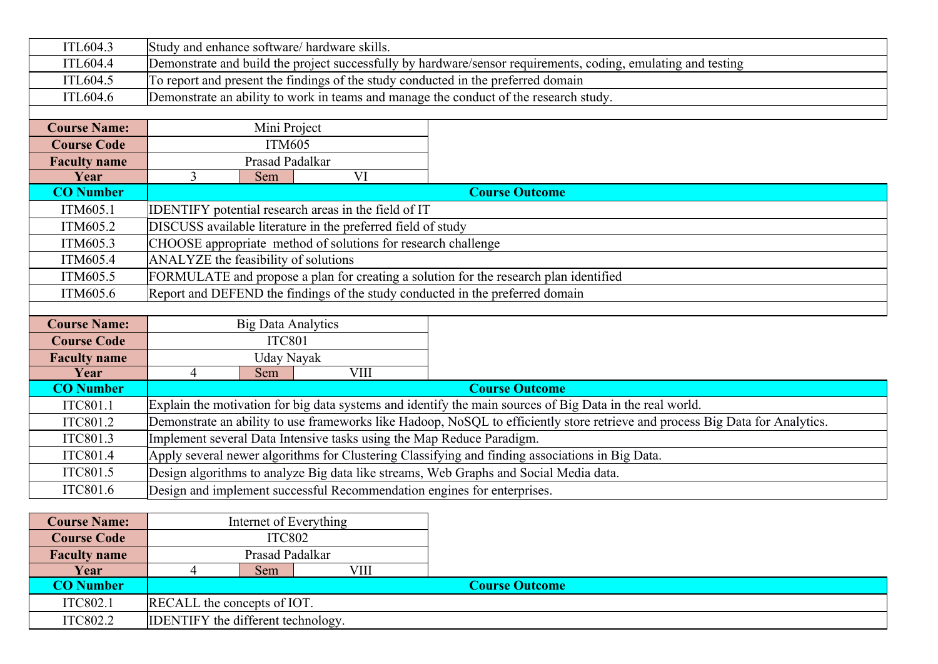| ITL604.3            | Study and enhance software/ hardware skills.                                                                                  |                        |                                                                                       |  |  |  |
|---------------------|-------------------------------------------------------------------------------------------------------------------------------|------------------------|---------------------------------------------------------------------------------------|--|--|--|
| <b>ITL604.4</b>     | Demonstrate and build the project successfully by hardware/sensor requirements, coding, emulating and testing                 |                        |                                                                                       |  |  |  |
| ITL604.5            |                                                                                                                               |                        | To report and present the findings of the study conducted in the preferred domain     |  |  |  |
| ITL604.6            |                                                                                                                               |                        | Demonstrate an ability to work in teams and manage the conduct of the research study. |  |  |  |
|                     |                                                                                                                               |                        |                                                                                       |  |  |  |
| <b>Course Name:</b> | Mini Project                                                                                                                  |                        |                                                                                       |  |  |  |
| <b>Course Code</b>  | <b>ITM605</b>                                                                                                                 |                        |                                                                                       |  |  |  |
| <b>Faculty name</b> | Prasad Padalkar                                                                                                               |                        |                                                                                       |  |  |  |
| Year                | $\overline{3}$<br>Sem                                                                                                         | $\overline{\text{VI}}$ |                                                                                       |  |  |  |
| <b>CO</b> Number    |                                                                                                                               |                        | <b>Course Outcome</b>                                                                 |  |  |  |
| ITM605.1            | IDENTIFY potential research areas in the field of IT                                                                          |                        |                                                                                       |  |  |  |
| ITM605.2            | DISCUSS available literature in the preferred field of study                                                                  |                        |                                                                                       |  |  |  |
| ITM605.3            | CHOOSE appropriate method of solutions for research challenge                                                                 |                        |                                                                                       |  |  |  |
| ITM605.4            | ANALYZE the feasibility of solutions                                                                                          |                        |                                                                                       |  |  |  |
| ITM605.5            | FORMULATE and propose a plan for creating a solution for the research plan identified                                         |                        |                                                                                       |  |  |  |
| ITM605.6            | Report and DEFEND the findings of the study conducted in the preferred domain                                                 |                        |                                                                                       |  |  |  |
|                     |                                                                                                                               |                        |                                                                                       |  |  |  |
| <b>Course Name:</b> | <b>Big Data Analytics</b>                                                                                                     |                        |                                                                                       |  |  |  |
| <b>Course Code</b>  | <b>ITC801</b>                                                                                                                 |                        |                                                                                       |  |  |  |
| <b>Faculty name</b> | Uday Nayak                                                                                                                    |                        |                                                                                       |  |  |  |
| Year                | $\overline{4}$<br>Sem                                                                                                         | <b>VIII</b>            |                                                                                       |  |  |  |
| <b>CO</b> Number    | <b>Course Outcome</b>                                                                                                         |                        |                                                                                       |  |  |  |
| ITC801.1            | Explain the motivation for big data systems and identify the main sources of Big Data in the real world.                      |                        |                                                                                       |  |  |  |
| ITC801.2            | Demonstrate an ability to use frameworks like Hadoop, NoSQL to efficiently store retrieve and process Big Data for Analytics. |                        |                                                                                       |  |  |  |
| ITC801.3            | Implement several Data Intensive tasks using the Map Reduce Paradigm.                                                         |                        |                                                                                       |  |  |  |
| ITC801.4            | Apply several newer algorithms for Clustering Classifying and finding associations in Big Data.                               |                        |                                                                                       |  |  |  |
| ITC801.5            |                                                                                                                               |                        | Design algorithms to analyze Big data like streams, Web Graphs and Social Media data. |  |  |  |
| ITC801.6            | Design and implement successful Recommendation engines for enterprises.                                                       |                        |                                                                                       |  |  |  |

| <b>Course Name:</b> |                             |                                           | Internet of Everything |                       |  |  |
|---------------------|-----------------------------|-------------------------------------------|------------------------|-----------------------|--|--|
| <b>Course Code</b>  |                             | <b>ITC802</b>                             |                        |                       |  |  |
| <b>Faculty name</b> | Prasad Padalkar             |                                           |                        |                       |  |  |
| Year                |                             | Sem                                       | VIII                   |                       |  |  |
| <b>CO Number</b>    |                             |                                           |                        | <b>Course Outcome</b> |  |  |
| ITC802.1            | RECALL the concepts of IOT. |                                           |                        |                       |  |  |
| ITC802.2            |                             | <b>IDENTIFY</b> the different technology. |                        |                       |  |  |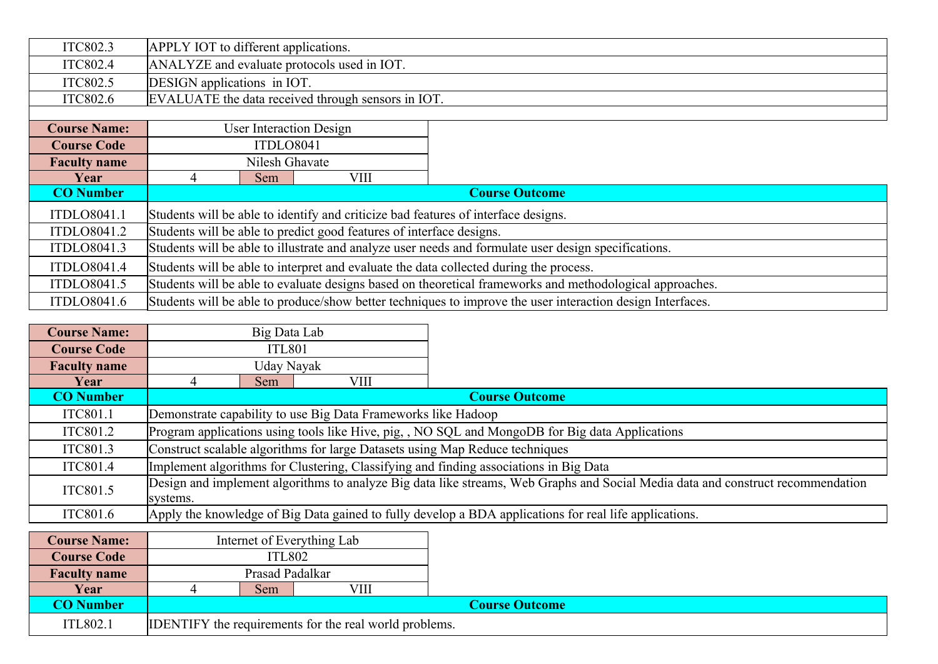| ITC802.3            | APPLY IOT to different applications.                                                                 |                                                                                    |                                                    |                                                                                                            |  |  |  |
|---------------------|------------------------------------------------------------------------------------------------------|------------------------------------------------------------------------------------|----------------------------------------------------|------------------------------------------------------------------------------------------------------------|--|--|--|
| ITC802.4            |                                                                                                      | ANALYZE and evaluate protocols used in IOT.                                        |                                                    |                                                                                                            |  |  |  |
| ITC802.5            | DESIGN applications in IOT.                                                                          |                                                                                    |                                                    |                                                                                                            |  |  |  |
| ITC802.6            |                                                                                                      |                                                                                    | EVALUATE the data received through sensors in IOT. |                                                                                                            |  |  |  |
|                     |                                                                                                      |                                                                                    |                                                    |                                                                                                            |  |  |  |
| <b>Course Name:</b> |                                                                                                      |                                                                                    | <b>User Interaction Design</b>                     |                                                                                                            |  |  |  |
| <b>Course Code</b>  |                                                                                                      | ITDLO8041                                                                          |                                                    |                                                                                                            |  |  |  |
| <b>Faculty name</b> |                                                                                                      | Nilesh Ghavate                                                                     |                                                    |                                                                                                            |  |  |  |
| Year                | 4                                                                                                    | <b>Sem</b>                                                                         | VIII                                               |                                                                                                            |  |  |  |
| <b>CO</b> Number    |                                                                                                      | <b>Course Outcome</b>                                                              |                                                    |                                                                                                            |  |  |  |
| ITDLO8041.1         |                                                                                                      | Students will be able to identify and criticize bad features of interface designs. |                                                    |                                                                                                            |  |  |  |
| ITDLO8041.2         |                                                                                                      | Students will be able to predict good features of interface designs.               |                                                    |                                                                                                            |  |  |  |
| ITDLO8041.3         | Students will be able to illustrate and analyze user needs and formulate user design specifications. |                                                                                    |                                                    |                                                                                                            |  |  |  |
| ITDLO8041.4         | Students will be able to interpret and evaluate the data collected during the process.               |                                                                                    |                                                    |                                                                                                            |  |  |  |
| ITDLO8041.5         |                                                                                                      |                                                                                    |                                                    | Students will be able to evaluate designs based on theoretical frameworks and methodological approaches.   |  |  |  |
| ITDLO8041.6         |                                                                                                      |                                                                                    |                                                    | Students will be able to produce/show better techniques to improve the user interaction design Interfaces. |  |  |  |

| <b>Course Name:</b> |                                                                                                                                             | Big Data Lab                                                                                    |                                                               |                       |  |  |  |
|---------------------|---------------------------------------------------------------------------------------------------------------------------------------------|-------------------------------------------------------------------------------------------------|---------------------------------------------------------------|-----------------------|--|--|--|
| <b>Course Code</b>  |                                                                                                                                             | <b>ITL801</b>                                                                                   |                                                               |                       |  |  |  |
| <b>Faculty name</b> |                                                                                                                                             | Uday Nayak                                                                                      |                                                               |                       |  |  |  |
| Year                |                                                                                                                                             | Sem                                                                                             | VIII                                                          |                       |  |  |  |
| <b>CO</b> Number    |                                                                                                                                             |                                                                                                 |                                                               | <b>Course Outcome</b> |  |  |  |
| ITC801.1            |                                                                                                                                             |                                                                                                 | Demonstrate capability to use Big Data Frameworks like Hadoop |                       |  |  |  |
| ITC801.2            |                                                                                                                                             | Program applications using tools like Hive, pig, , NO SQL and MongoDB for Big data Applications |                                                               |                       |  |  |  |
| ITC801.3            |                                                                                                                                             | Construct scalable algorithms for large Datasets using Map Reduce techniques                    |                                                               |                       |  |  |  |
| ITC801.4            |                                                                                                                                             | Implement algorithms for Clustering, Classifying and finding associations in Big Data           |                                                               |                       |  |  |  |
| ITC801.5            | Design and implement algorithms to analyze Big data like streams, Web Graphs and Social Media data and construct recommendation<br>systems. |                                                                                                 |                                                               |                       |  |  |  |
| ITC801.6            | Apply the knowledge of Big Data gained to fully develop a BDA applications for real life applications.                                      |                                                                                                 |                                                               |                       |  |  |  |
|                     |                                                                                                                                             |                                                                                                 |                                                               |                       |  |  |  |
| <b>Course Name:</b> |                                                                                                                                             |                                                                                                 | Internet of Everything Lab                                    |                       |  |  |  |
| $Cquark$ $Cab$      |                                                                                                                                             | $TTI$ $00$                                                                                      |                                                               |                       |  |  |  |

| <b>Course Name:</b> |                                                               |                 | Internet of Everything Lab |  |  |  |
|---------------------|---------------------------------------------------------------|-----------------|----------------------------|--|--|--|
| <b>Course Code</b>  |                                                               | <b>ITL802</b>   |                            |  |  |  |
| <b>Faculty name</b> |                                                               | Prasad Padalkar |                            |  |  |  |
| Year                | VII<br>Sem                                                    |                 |                            |  |  |  |
| <b>CO Number</b>    | <b>Course Outcome</b>                                         |                 |                            |  |  |  |
| <b>ITL802.1</b>     | <b>IDENTIFY</b> the requirements for the real world problems. |                 |                            |  |  |  |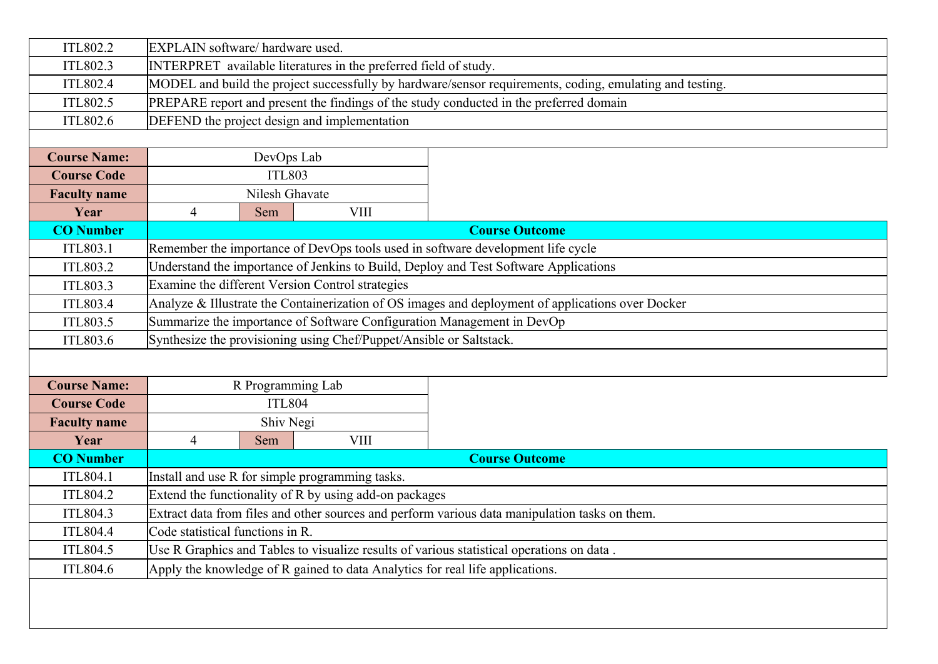| ITL802.2            | EXPLAIN software/ hardware used.                                                                  |                   |                                              |                                                                                                          |  |  |
|---------------------|---------------------------------------------------------------------------------------------------|-------------------|----------------------------------------------|----------------------------------------------------------------------------------------------------------|--|--|
| ITL802.3            | INTERPRET available literatures in the preferred field of study.                                  |                   |                                              |                                                                                                          |  |  |
| ITL802.4            |                                                                                                   |                   |                                              | MODEL and build the project successfully by hardware/sensor requirements, coding, emulating and testing. |  |  |
| ITL802.5            |                                                                                                   |                   |                                              | PREPARE report and present the findings of the study conducted in the preferred domain                   |  |  |
| ITL802.6            |                                                                                                   |                   | DEFEND the project design and implementation |                                                                                                          |  |  |
|                     |                                                                                                   |                   |                                              |                                                                                                          |  |  |
| <b>Course Name:</b> |                                                                                                   | DevOps Lab        |                                              |                                                                                                          |  |  |
| <b>Course Code</b>  |                                                                                                   | <b>ITL803</b>     |                                              |                                                                                                          |  |  |
| <b>Faculty name</b> |                                                                                                   | Nilesh Ghavate    |                                              |                                                                                                          |  |  |
| Year                | 4                                                                                                 | Sem               | <b>VIII</b>                                  |                                                                                                          |  |  |
| <b>CO</b> Number    |                                                                                                   |                   |                                              | <b>Course Outcome</b>                                                                                    |  |  |
| <b>ITL803.1</b>     |                                                                                                   |                   |                                              | Remember the importance of DevOps tools used in software development life cycle                          |  |  |
| ITL803.2            |                                                                                                   |                   |                                              | Understand the importance of Jenkins to Build, Deploy and Test Software Applications                     |  |  |
| ITL803.3            | Examine the different Version Control strategies                                                  |                   |                                              |                                                                                                          |  |  |
| ITL803.4            | Analyze & Illustrate the Containerization of OS images and deployment of applications over Docker |                   |                                              |                                                                                                          |  |  |
| ITL803.5            | Summarize the importance of Software Configuration Management in DevOp                            |                   |                                              |                                                                                                          |  |  |
| ITL803.6            | Synthesize the provisioning using Chef/Puppet/Ansible or Saltstack.                               |                   |                                              |                                                                                                          |  |  |
|                     |                                                                                                   |                   |                                              |                                                                                                          |  |  |
| <b>Course Name:</b> |                                                                                                   | R Programming Lab |                                              |                                                                                                          |  |  |
| <b>Course Code</b>  |                                                                                                   | <b>ITL804</b>     |                                              |                                                                                                          |  |  |
| <b>Faculty name</b> |                                                                                                   | Shiv Negi         |                                              |                                                                                                          |  |  |
| Year                | 4                                                                                                 | Sem               | <b>VIII</b>                                  |                                                                                                          |  |  |
| <b>CO</b> Number    |                                                                                                   |                   |                                              | <b>Course Outcome</b>                                                                                    |  |  |
| <b>ITL804.1</b>     | Install and use R for simple programming tasks.                                                   |                   |                                              |                                                                                                          |  |  |
| <b>ITL804.2</b>     | Extend the functionality of R by using add-on packages                                            |                   |                                              |                                                                                                          |  |  |
| <b>ITL804.3</b>     | Extract data from files and other sources and perform various data manipulation tasks on them.    |                   |                                              |                                                                                                          |  |  |
| ITL804.4            | Code statistical functions in R.                                                                  |                   |                                              |                                                                                                          |  |  |
| ITL804.5            | Use R Graphics and Tables to visualize results of various statistical operations on data.         |                   |                                              |                                                                                                          |  |  |
| ITL804.6            | Apply the knowledge of R gained to data Analytics for real life applications.                     |                   |                                              |                                                                                                          |  |  |
|                     |                                                                                                   |                   |                                              |                                                                                                          |  |  |
|                     |                                                                                                   |                   |                                              |                                                                                                          |  |  |
|                     |                                                                                                   |                   |                                              |                                                                                                          |  |  |